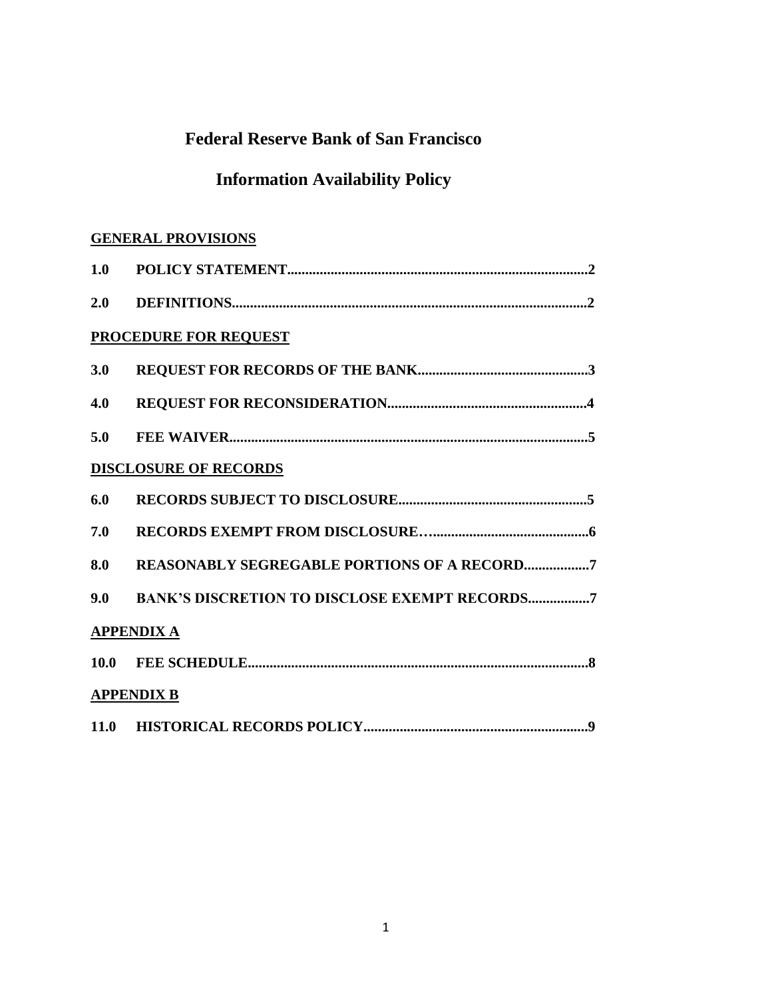## **Federal Reserve Bank of San Francisco**

# **Information Availability Policy**

### **GENERAL PROVISIONS**

| 1.0 |                                                      |
|-----|------------------------------------------------------|
|     |                                                      |
|     | <b>PROCEDURE FOR REQUEST</b>                         |
| 3.0 |                                                      |
| 4.0 |                                                      |
| 5.0 |                                                      |
|     | <b>DISCLOSURE OF RECORDS</b>                         |
| 6.0 |                                                      |
| 7.0 |                                                      |
| 8.0 | REASONABLY SEGREGABLE PORTIONS OF A RECORD7          |
| 9.0 | <b>BANK'S DISCRETION TO DISCLOSE EXEMPT RECORDS7</b> |
|     | <b>APPENDIX A</b>                                    |
|     |                                                      |
|     | <b>APPENDIX B</b>                                    |
|     |                                                      |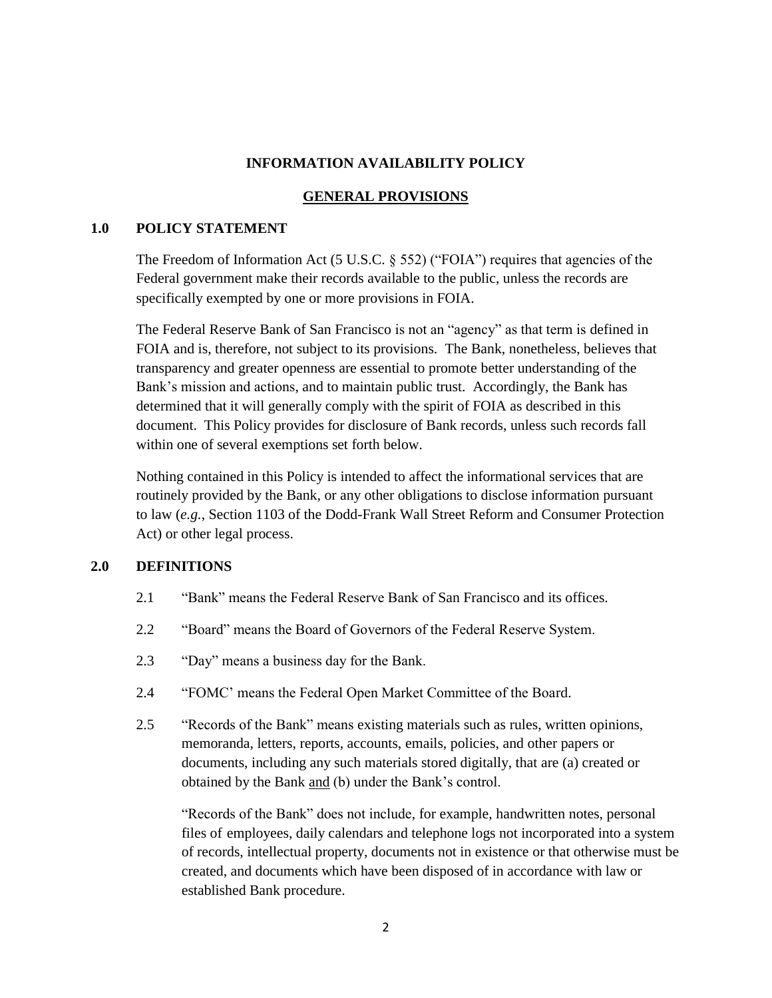#### **INFORMATION AVAILABILITY POLICY**

#### **GENERAL PROVISIONS**

#### **1.0 POLICY STATEMENT**

The Freedom of Information Act (5 U.S.C.  $\S$  552) ("FOIA") requires that agencies of the Federal government make their records available to the public, unless the records are specifically exempted by one or more provisions in FOIA.

The Federal Reserve Bank of San Francisco is not an "agency" as that term is defined in FOIA and is, therefore, not subject to its provisions. The Bank, nonetheless, believes that transparency and greater openness are essential to promote better understanding of the Bank's mission and actions, and to maintain public trust. Accordingly, the Bank has determined that it will generally comply with the spirit of FOIA as described in this document. This Policy provides for disclosure of Bank records, unless such records fall within one of several exemptions set forth below.

Nothing contained in this Policy is intended to affect the informational services that are routinely provided by the Bank, or any other obligations to disclose information pursuant to law (*e.g.*, Section 1103 of the Dodd-Frank Wall Street Reform and Consumer Protection Act) or other legal process.

#### **2.0 DEFINITIONS**

- 2.1 "Bank" means the Federal Reserve Bank of San Francisco and its offices.
- 2.2 "Board" means the Board of Governors of the Federal Reserve System.
- 2.3 "Day" means a business day for the Bank.
- 2.4 "FOMC' means the Federal Open Market Committee of the Board.
- 2.5 "Records of the Bank" means existing materials such as rules, written opinions, memoranda, letters, reports, accounts, emails, policies, and other papers or documents, including any such materials stored digitally, that are (a) created or obtained by the Bank and (b) under the Bank's control.

"Records of the Bank" does not include, for example, handwritten notes, personal files of employees, daily calendars and telephone logs not incorporated into a system of records, intellectual property, documents not in existence or that otherwise must be created, and documents which have been disposed of in accordance with law or established Bank procedure.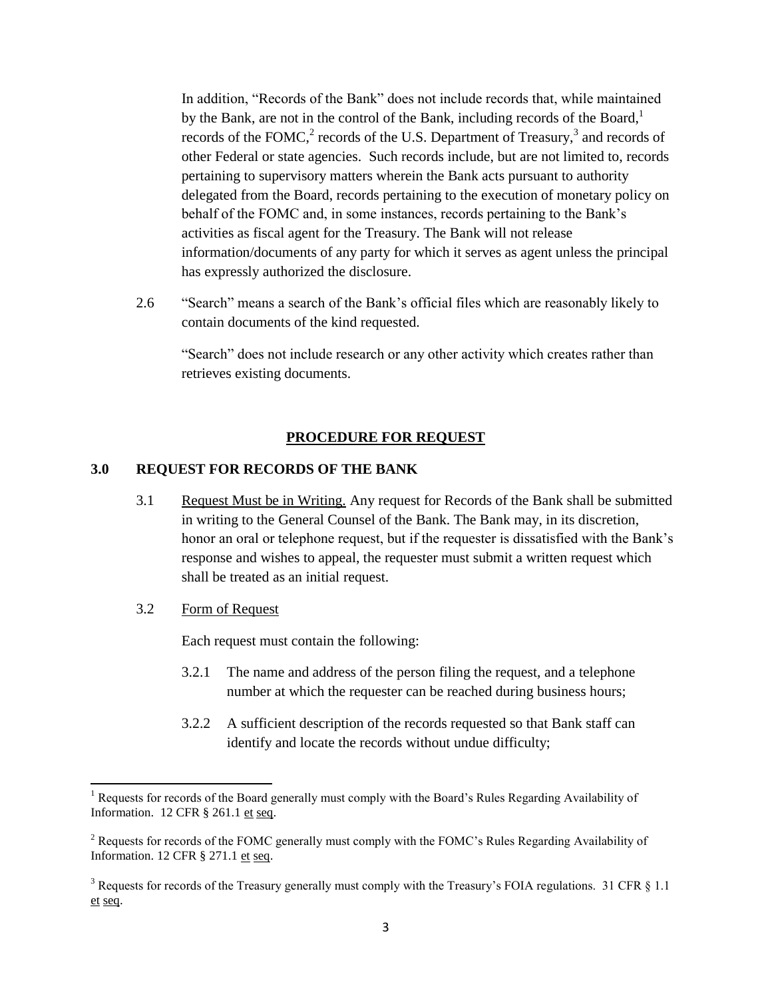In addition, "Records of the Bank" does not include records that, while maintained by the Bank, are not in the control of the Bank, including records of the Board, $<sup>1</sup>$ </sup> records of the FOMC,<sup>2</sup> records of the U.S. Department of Treasury,<sup>3</sup> and records of other Federal or state agencies. Such records include, but are not limited to, records pertaining to supervisory matters wherein the Bank acts pursuant to authority delegated from the Board, records pertaining to the execution of monetary policy on behalf of the FOMC and, in some instances, records pertaining to the Bank's activities as fiscal agent for the Treasury. The Bank will not release information/documents of any party for which it serves as agent unless the principal has expressly authorized the disclosure.

2.6 "Search" means a search of the Bank's official files which are reasonably likely to contain documents of the kind requested.

"Search" does not include research or any other activity which creates rather than retrieves existing documents.

#### **PROCEDURE FOR REQUEST**

#### **3.0 REQUEST FOR RECORDS OF THE BANK**

- 3.1 Request Must be in Writing. Any request for Records of the Bank shall be submitted in writing to the General Counsel of the Bank. The Bank may, in its discretion, honor an oral or telephone request, but if the requester is dissatisfied with the Bank's response and wishes to appeal, the requester must submit a written request which shall be treated as an initial request.
- 3.2 Form of Request

l

Each request must contain the following:

- 3.2.1 The name and address of the person filing the request, and a telephone number at which the requester can be reached during business hours;
- 3.2.2 A sufficient description of the records requested so that Bank staff can identify and locate the records without undue difficulty;

<sup>&</sup>lt;sup>1</sup> Requests for records of the Board generally must comply with the Board's Rules Regarding Availability of Information. 12 CFR § 261.1 et seq.

<sup>&</sup>lt;sup>2</sup> Requests for records of the FOMC generally must comply with the FOMC's Rules Regarding Availability of Information. 12 CFR § 271.1 et seq.

<sup>&</sup>lt;sup>3</sup> Requests for records of the Treasury generally must comply with the Treasury's FOIA regulations. 31 CFR  $\S$  1.1 et seq.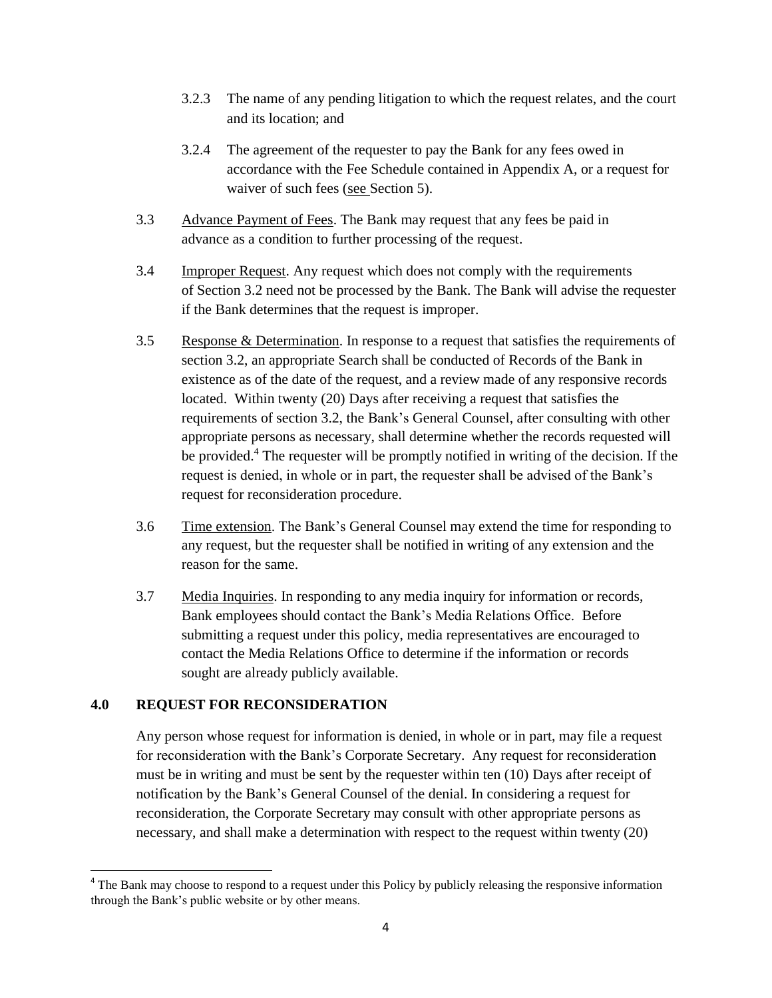- 3.2.3 The name of any pending litigation to which the request relates, and the court and its location; and
- 3.2.4 The agreement of the requester to pay the Bank for any fees owed in accordance with the Fee Schedule contained in Appendix A, or a request for waiver of such fees (see Section 5).
- 3.3 Advance Payment of Fees. The Bank may request that any fees be paid in advance as a condition to further processing of the request.
- 3.4 Improper Request. Any request which does not comply with the requirements of Section 3.2 need not be processed by the Bank. The Bank will advise the requester if the Bank determines that the request is improper.
- 3.5 Response & Determination. In response to a request that satisfies the requirements of section 3.2, an appropriate Search shall be conducted of Records of the Bank in existence as of the date of the request, and a review made of any responsive records located. Within twenty (20) Days after receiving a request that satisfies the requirements of section 3.2, the Bank's General Counsel, after consulting with other appropriate persons as necessary, shall determine whether the records requested will be provided.<sup>4</sup> The requester will be promptly notified in writing of the decision. If the request is denied, in whole or in part, the requester shall be advised of the Bank's request for reconsideration procedure.
- 3.6 Time extension. The Bank's General Counsel may extend the time for responding to any request, but the requester shall be notified in writing of any extension and the reason for the same.
- 3.7 Media Inquiries. In responding to any media inquiry for information or records, Bank employees should contact the Bank's Media Relations Office. Before submitting a request under this policy, media representatives are encouraged to contact the Media Relations Office to determine if the information or records sought are already publicly available.

#### **4.0 REQUEST FOR RECONSIDERATION**

Any person whose request for information is denied, in whole or in part, may file a request for reconsideration with the Bank's Corporate Secretary. Any request for reconsideration must be in writing and must be sent by the requester within ten (10) Days after receipt of notification by the Bank's General Counsel of the denial. In considering a request for reconsideration, the Corporate Secretary may consult with other appropriate persons as necessary, and shall make a determination with respect to the request within twenty (20)

<sup>&</sup>lt;sup>4</sup> The Bank may choose to respond to a request under this Policy by publicly releasing the responsive information through the Bank's public website or by other means.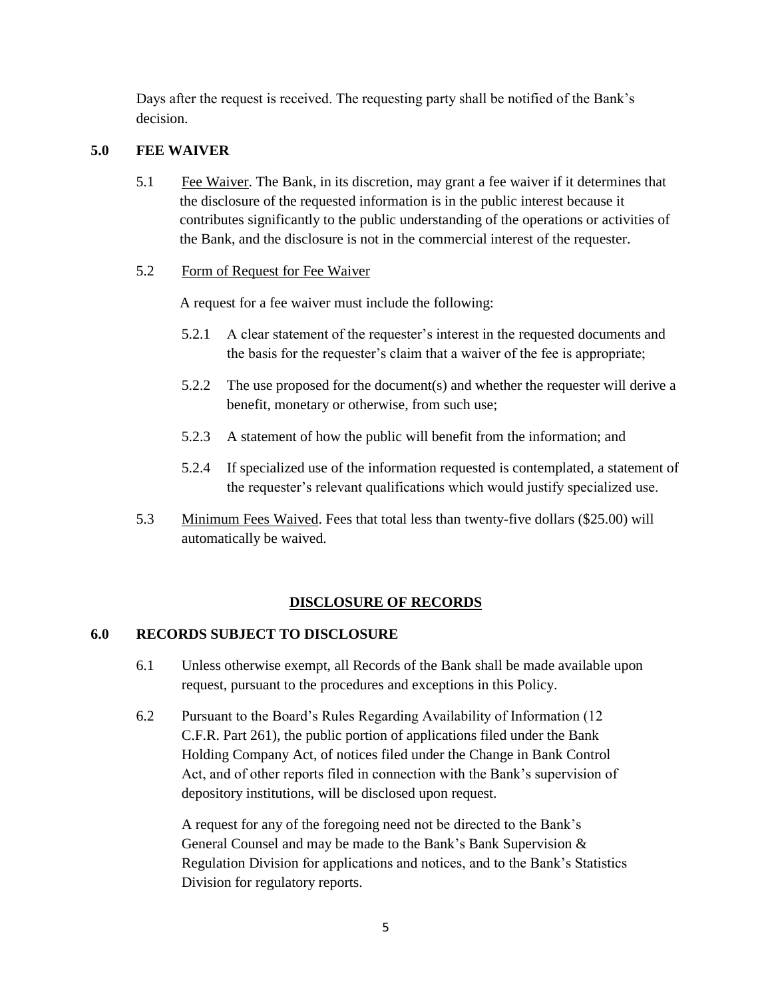Days after the request is received. The requesting party shall be notified of the Bank's decision.

#### **5.0 FEE WAIVER**

5.1 Fee Waiver. The Bank, in its discretion, may grant a fee waiver if it determines that the disclosure of the requested information is in the public interest because it contributes significantly to the public understanding of the operations or activities of the Bank, and the disclosure is not in the commercial interest of the requester.

#### 5.2 Form of Request for Fee Waiver

A request for a fee waiver must include the following:

- 5.2.1 A clear statement of the requester's interest in the requested documents and the basis for the requester's claim that a waiver of the fee is appropriate;
- 5.2.2 The use proposed for the document(s) and whether the requester will derive a benefit, monetary or otherwise, from such use;
- 5.2.3 A statement of how the public will benefit from the information; and
- 5.2.4 If specialized use of the information requested is contemplated, a statement of the requester's relevant qualifications which would justify specialized use.
- 5.3 Minimum Fees Waived. Fees that total less than twenty-five dollars (\$25.00) will automatically be waived.

#### **DISCLOSURE OF RECORDS**

#### **6.0 RECORDS SUBJECT TO DISCLOSURE**

- 6.1 Unless otherwise exempt, all Records of the Bank shall be made available upon request, pursuant to the procedures and exceptions in this Policy.
- 6.2 Pursuant to the Board's Rules Regarding Availability of Information (12 C.F.R. Part 261), the public portion of applications filed under the Bank Holding Company Act, of notices filed under the Change in Bank Control Act, and of other reports filed in connection with the Bank's supervision of depository institutions, will be disclosed upon request.

A request for any of the foregoing need not be directed to the Bank's General Counsel and may be made to the Bank's Bank Supervision & Regulation Division for applications and notices, and to the Bank's Statistics Division for regulatory reports.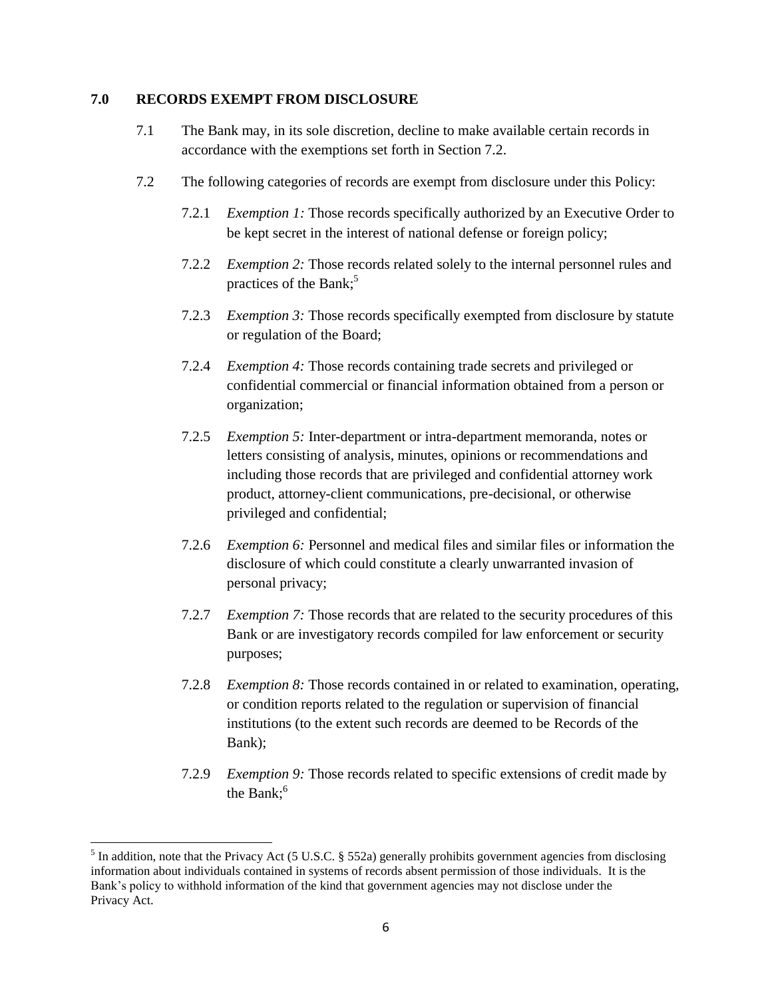#### **7.0 RECORDS EXEMPT FROM DISCLOSURE**

- 7.1 The Bank may, in its sole discretion, decline to make available certain records in accordance with the exemptions set forth in Section 7.2.
- 7.2 The following categories of records are exempt from disclosure under this Policy:
	- 7.2.1 *Exemption 1:* Those records specifically authorized by an Executive Order to be kept secret in the interest of national defense or foreign policy;
	- 7.2.2 *Exemption 2:* Those records related solely to the internal personnel rules and practices of the Bank; 5
	- 7.2.3 *Exemption 3:* Those records specifically exempted from disclosure by statute or regulation of the Board;
	- 7.2.4 *Exemption 4:* Those records containing trade secrets and privileged or confidential commercial or financial information obtained from a person or organization;
	- 7.2.5 *Exemption 5:* Inter-department or intra-department memoranda, notes or letters consisting of analysis, minutes, opinions or recommendations and including those records that are privileged and confidential attorney work product, attorney-client communications, pre-decisional, or otherwise privileged and confidential;
	- 7.2.6 *Exemption 6:* Personnel and medical files and similar files or information the disclosure of which could constitute a clearly unwarranted invasion of personal privacy;
	- 7.2.7 *Exemption 7:* Those records that are related to the security procedures of this Bank or are investigatory records compiled for law enforcement or security purposes;
	- 7.2.8 *Exemption 8:* Those records contained in or related to examination, operating, or condition reports related to the regulation or supervision of financial institutions (to the extent such records are deemed to be Records of the Bank);
	- 7.2.9 *Exemption 9:* Those records related to specific extensions of credit made by the Bank: $<sup>6</sup>$ </sup>

 $\overline{\phantom{a}}$ 

<sup>&</sup>lt;sup>5</sup> In addition, note that the Privacy Act (5 U.S.C. § 552a) generally prohibits government agencies from disclosing information about individuals contained in systems of records absent permission of those individuals. It is the Bank's policy to withhold information of the kind that government agencies may not disclose under the Privacy Act.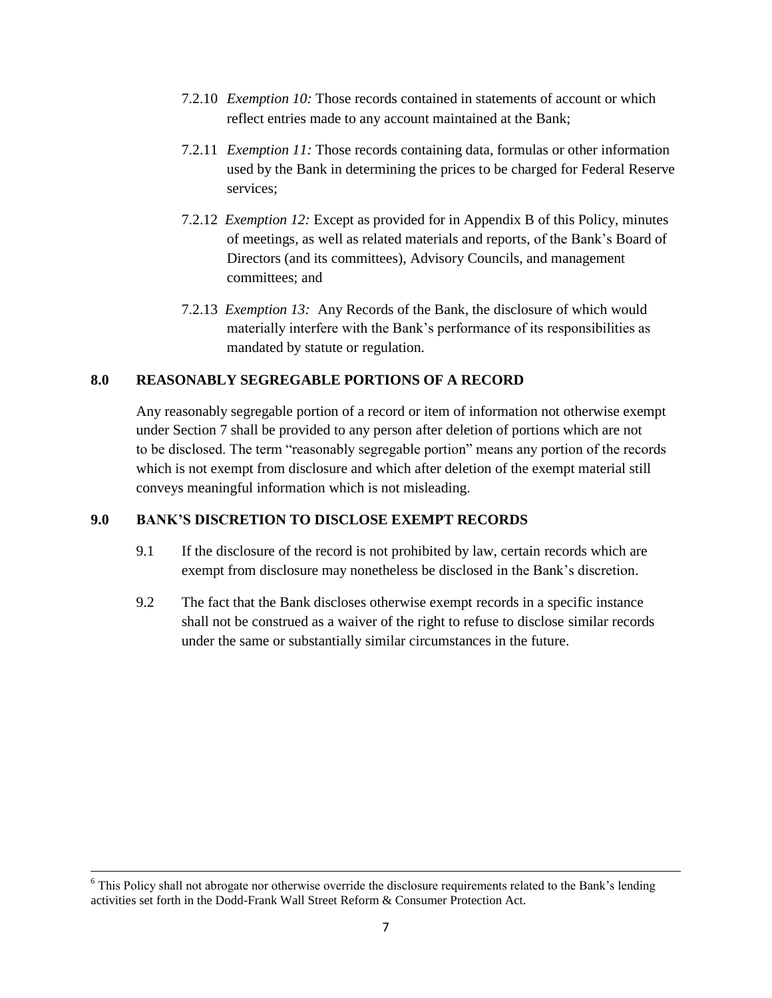- 7.2.10 *Exemption 10:* Those records contained in statements of account or which reflect entries made to any account maintained at the Bank;
- 7.2.11 *Exemption 11:* Those records containing data, formulas or other information used by the Bank in determining the prices to be charged for Federal Reserve services;
- 7.2.12 *Exemption 12:* Except as provided for in Appendix B of this Policy, minutes of meetings, as well as related materials and reports, of the Bank's Board of Directors (and its committees), Advisory Councils, and management committees; and
- 7.2.13 *Exemption 13:* Any Records of the Bank, the disclosure of which would materially interfere with the Bank's performance of its responsibilities as mandated by statute or regulation.

#### **8.0 REASONABLY SEGREGABLE PORTIONS OF A RECORD**

Any reasonably segregable portion of a record or item of information not otherwise exempt under Section 7 shall be provided to any person after deletion of portions which are not to be disclosed. The term "reasonably segregable portion" means any portion of the records which is not exempt from disclosure and which after deletion of the exempt material still conveys meaningful information which is not misleading.

### **9.0 BANK'S DISCRETION TO DISCLOSE EXEMPT RECORDS**

- 9.1 If the disclosure of the record is not prohibited by law, certain records which are exempt from disclosure may nonetheless be disclosed in the Bank's discretion.
- 9.2 The fact that the Bank discloses otherwise exempt records in a specific instance shall not be construed as a waiver of the right to refuse to disclose similar records under the same or substantially similar circumstances in the future.

 $\overline{\phantom{a}}$ 

<sup>&</sup>lt;sup>6</sup> This Policy shall not abrogate nor otherwise override the disclosure requirements related to the Bank's lending activities set forth in the Dodd-Frank Wall Street Reform & Consumer Protection Act.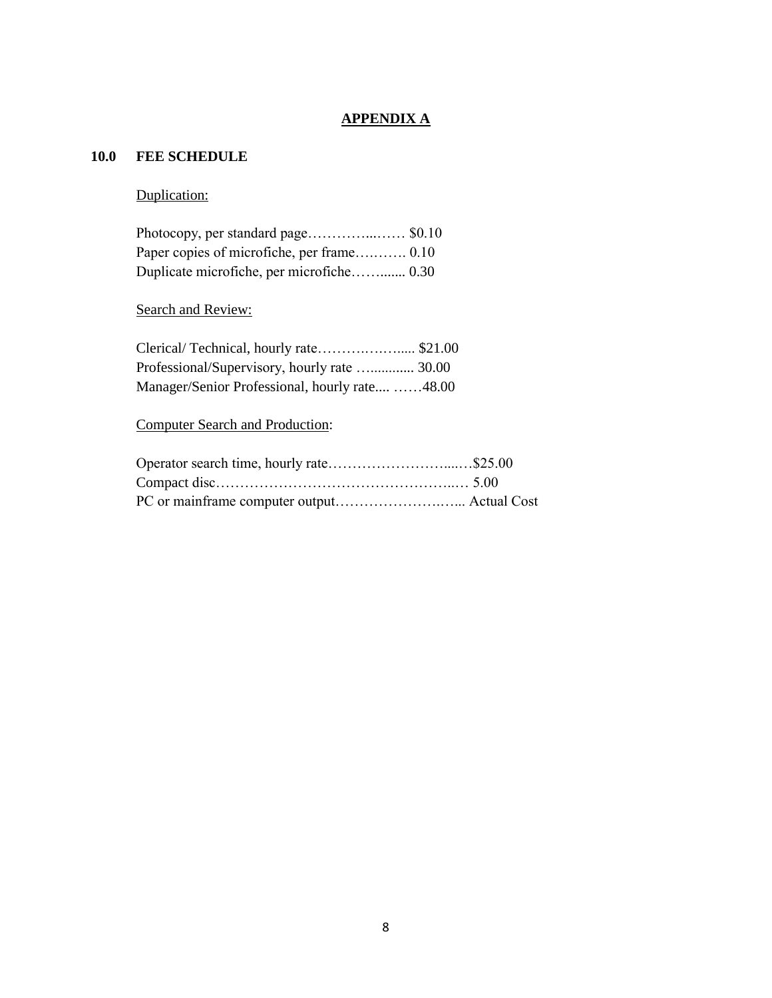### **APPENDIX A**

### **10.0 FEE SCHEDULE**

### Duplication:

| Duplicate microfiche, per microfiche 0.30 |  |
|-------------------------------------------|--|

### Search and Review:

| Professional/Supervisory, hourly rate  30.00   |  |
|------------------------------------------------|--|
| Manager/Senior Professional, hourly rate 48.00 |  |

# Computer Search and Production: